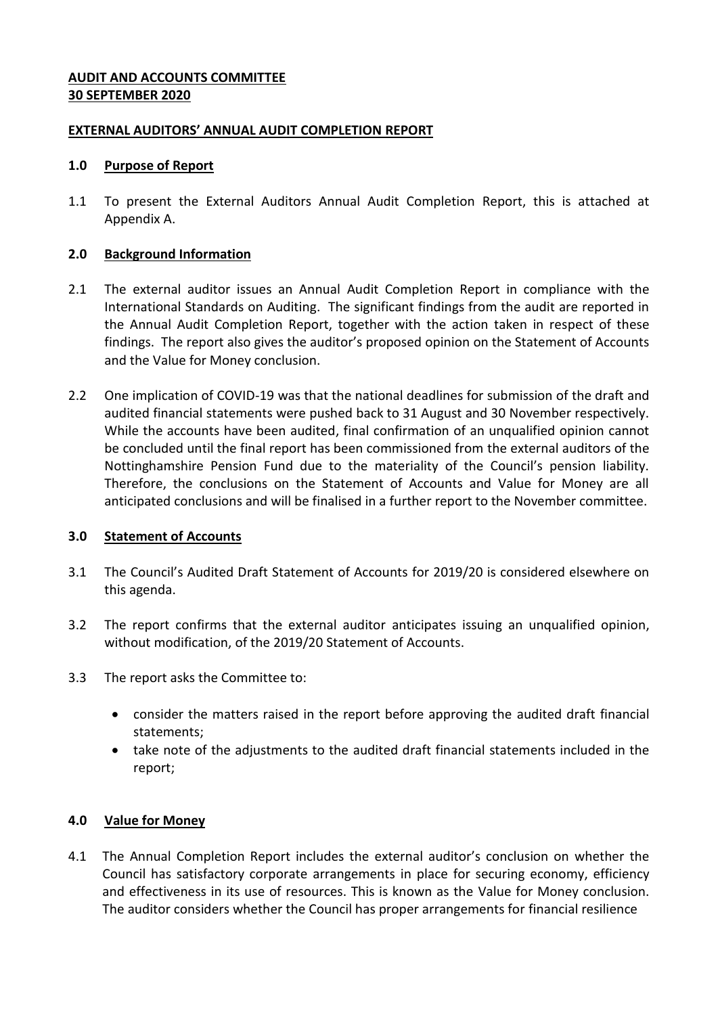## **AUDIT AND ACCOUNTS COMMITTEE 30 SEPTEMBER 2020**

## **EXTERNAL AUDITORS' ANNUAL AUDIT COMPLETION REPORT**

#### **1.0 Purpose of Report**

1.1 To present the External Auditors Annual Audit Completion Report, this is attached at Appendix A.

## **2.0 Background Information**

- 2.1 The external auditor issues an Annual Audit Completion Report in compliance with the International Standards on Auditing. The significant findings from the audit are reported in the Annual Audit Completion Report, together with the action taken in respect of these findings. The report also gives the auditor's proposed opinion on the Statement of Accounts and the Value for Money conclusion.
- 2.2 One implication of COVID-19 was that the national deadlines for submission of the draft and audited financial statements were pushed back to 31 August and 30 November respectively. While the accounts have been audited, final confirmation of an unqualified opinion cannot be concluded until the final report has been commissioned from the external auditors of the Nottinghamshire Pension Fund due to the materiality of the Council's pension liability. Therefore, the conclusions on the Statement of Accounts and Value for Money are all anticipated conclusions and will be finalised in a further report to the November committee.

# **3.0 Statement of Accounts**

- 3.1 The Council's Audited Draft Statement of Accounts for 2019/20 is considered elsewhere on this agenda.
- 3.2 The report confirms that the external auditor anticipates issuing an unqualified opinion, without modification, of the 2019/20 Statement of Accounts.
- 3.3 The report asks the Committee to:
	- consider the matters raised in the report before approving the audited draft financial statements;
	- take note of the adjustments to the audited draft financial statements included in the report;

# **4.0 Value for Money**

4.1 The Annual Completion Report includes the external auditor's conclusion on whether the Council has satisfactory corporate arrangements in place for securing economy, efficiency and effectiveness in its use of resources. This is known as the Value for Money conclusion. The auditor considers whether the Council has proper arrangements for financial resilience